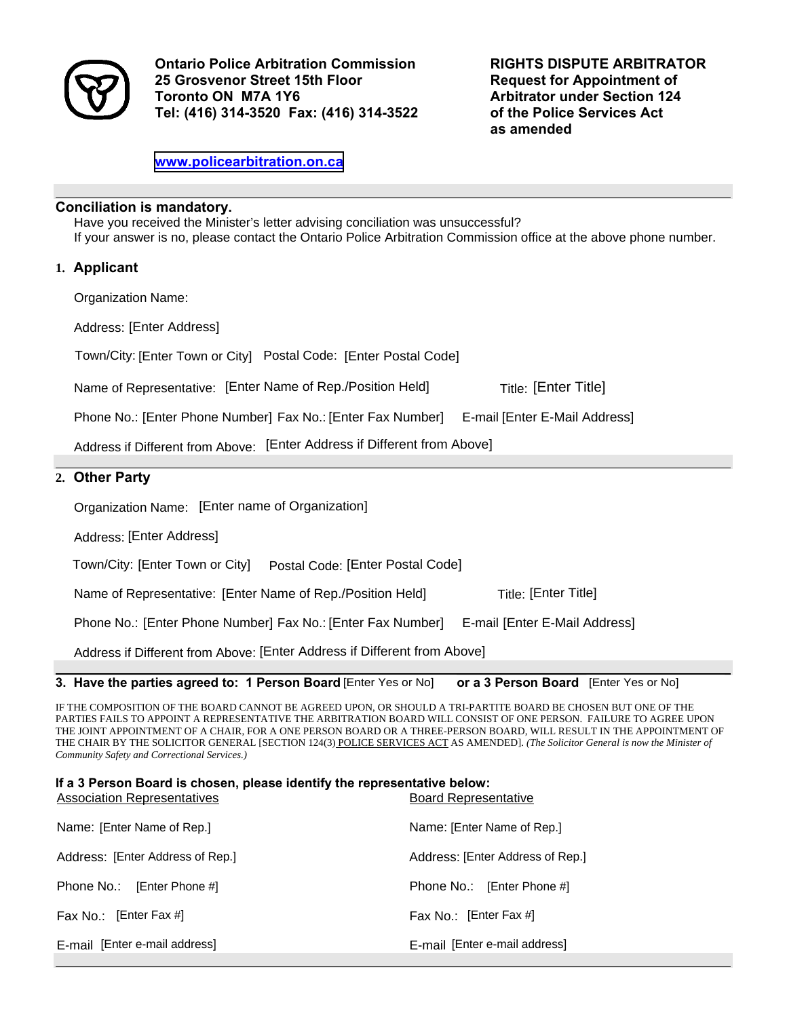

**Ontario Police Arbitration Commission 25 Grosvenor Street 15th Floor Toronto ON M7A 1Y6 Tel: (416) 314-3520 Fax: (416) 314-3522**  **RIGHTS DISPUTE ARBITRATOR Request for Appointment of Arbitrator under Section 124 of the Police Services Act as amended** 

**<www.policearbitration.on.ca>** 

## **Conciliation is mandatory.**

Have you received the Minister's letter advising conciliation was unsuccessful? If your answer is no, please contact the Ontario Police Arbitration Commission office at the above phone number.

## **1. Applicant**

Organization Name:

Address: [Enter Address]

Town/City: [Enter Town or City] Postal Code: [Enter Postal Code]

Name of Representative: [Enter Name of Rep./Position Held] Title: [Enter Title]

Phone No.: [Enter Phone Number] Fax No.: [Enter Fax Number] E-mail [Enter E-Mail Address]

Address if Different from Above: [Enter Address if Different from Above]

## **2. Other Party**

Organization Name: [Enter name of Organization]

Address: [Enter Address]

Town/City: Postal Code: [Enter Town or City] [Enter Postal Code]

Name of Representative: [Enter Name of Rep./Position Held] **Frimerial Title:** [Enter Title] **Title:** [Enter Title]

Phone No.: Fax No.: E-mail [Enter Phone Number] [Enter Fax Number] [Enter E-Mail Address]

Address if Different from Above: [Enter Address if Different from Above]

**3. Have the parties agreed to: 1 Person Board [Enter Yes or No]** or a 3 Person Board [Enter Yes or No]

IF THE COMPOSITION OF THE BOARD CANNOT BE AGREED UPON, OR SHOULD A TRI-PARTITE BOARD BE CHOSEN BUT ONE OF THE PARTIES FAILS TO APPOINT A REPRESENTATIVE THE ARBITRATION BOARD WILL CONSIST OF ONE PERSON. FAILURE TO AGREE UPON THE JOINT APPOINTMENT OF A CHAIR, FOR A ONE PERSON BOARD OR A THREE-PERSON BOARD, WILL RESULT IN THE APPOINTMENT OF THE CHAIR BY THE SOLICITOR GENERAL [SECTION 124(3) POLICE SERVICES ACT AS AMENDED]. *(The Solicitor General is now the Minister of Community Safety and Correctional Services.)* 

| If a 3 Person Board is chosen, please identify the representative below:<br><b>Association Representatives</b> | <b>Board Representative</b>      |  |  |
|----------------------------------------------------------------------------------------------------------------|----------------------------------|--|--|
| Name: [Enter Name of Rep.]                                                                                     | Name: [Enter Name of Rep.]       |  |  |
| Address: [Enter Address of Rep.]                                                                               | Address: [Enter Address of Rep.] |  |  |
| Phone No.: [Enter Phone #]                                                                                     | Phone No.: [Enter Phone #]       |  |  |
| Fax No.: [Enter Fax #]                                                                                         | Fax No.: [Enter Fax #]           |  |  |
| E-mail [Enter e-mail address]                                                                                  | E-mail [Enter e-mail address]    |  |  |